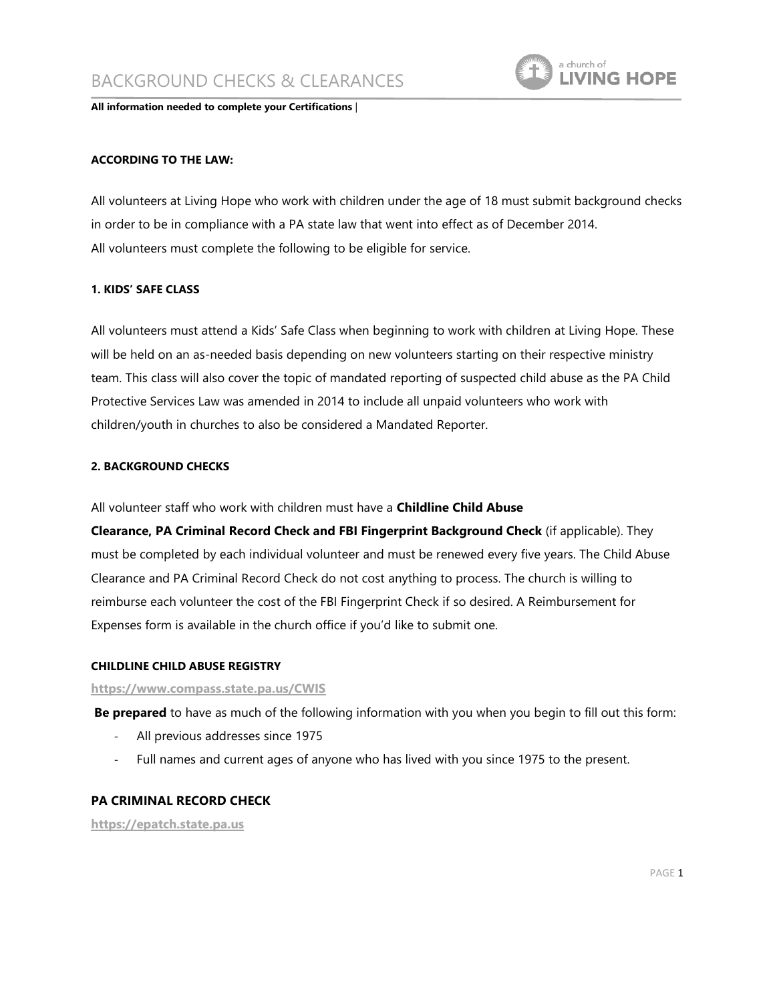

**All information needed to complete your Certifications** |

### **ACCORDING TO THE LAW:**

All volunteers at Living Hope who work with children under the age of 18 must submit background checks in order to be in compliance with a PA state law that went into effect as of December 2014. All volunteers must complete the following to be eligible for service.

#### **1. KIDS' SAFE CLASS**

All volunteers must attend a Kids' Safe Class when beginning to work with children at Living Hope. These will be held on an as-needed basis depending on new volunteers starting on their respective ministry team. This class will also cover the topic of mandated reporting of suspected child abuse as the PA Child Protective Services Law was amended in 2014 to include all unpaid volunteers who work with children/youth in churches to also be considered a Mandated Reporter.

## **2. BACKGROUND CHECKS**

All volunteer staff who work with children must have a **Childline Child Abuse** 

**Clearance, PA Criminal Record Check and FBI Fingerprint Background Check** (if applicable). They must be completed by each individual volunteer and must be renewed every five years. The Child Abuse Clearance and PA Criminal Record Check do not cost anything to process. The church is willing to reimburse each volunteer the cost of the FBI Fingerprint Check if so desired. A Reimbursement for Expenses form is available in the church office if you'd like to submit one.

#### **CHILDLINE CHILD ABUSE REGISTRY**

#### **<https://www.compass.state.pa.us/CWIS>**

**Be prepared** to have as much of the following information with you when you begin to fill out this form:

- All previous addresses since 1975
- Full names and current ages of anyone who has lived with you since 1975 to the present.

### **PA CRIMINAL RECORD CHECK**

**[https://epatch.state.pa.us](https://epatch.state.pa.us/)**